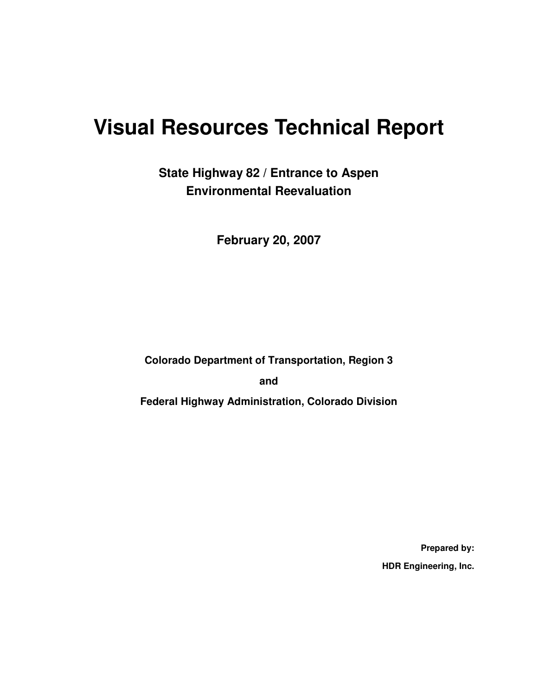# **Visual Resources Technical Report**

**State Highway 82 / Entrance to Aspen Environmental Reevaluation** 

**February 20, 2007** 

**Colorado Department of Transportation, Region 3** 

**and** 

**Federal Highway Administration, Colorado Division** 

**Prepared by: HDR Engineering, Inc.**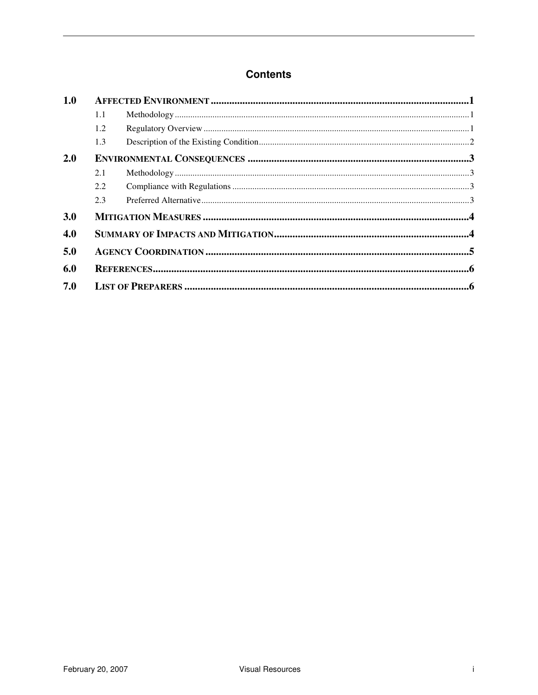#### **Contents**

| 1.0 |     |  |  |  |
|-----|-----|--|--|--|
|     | 1.1 |  |  |  |
|     | 1.2 |  |  |  |
|     | 1.3 |  |  |  |
| 2.0 |     |  |  |  |
|     | 2.1 |  |  |  |
|     | 2.2 |  |  |  |
|     | 2.3 |  |  |  |
| 3.0 |     |  |  |  |
| 4.0 |     |  |  |  |
| 5.0 |     |  |  |  |
| 6.0 |     |  |  |  |
| 7.0 |     |  |  |  |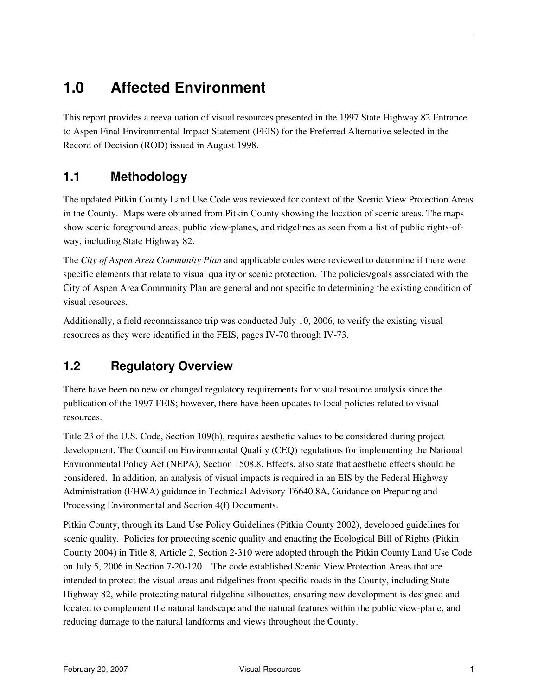# **1.0 Affected Environment**

This report provides a reevaluation of visual resources presented in the 1997 State Highway 82 Entrance to Aspen Final Environmental Impact Statement (FEIS) for the Preferred Alternative selected in the Record of Decision (ROD) issued in August 1998.

#### **1.1 Methodology**

The updated Pitkin County Land Use Code was reviewed for context of the Scenic View Protection Areas in the County. Maps were obtained from Pitkin County showing the location of scenic areas. The maps show scenic foreground areas, public view-planes, and ridgelines as seen from a list of public rights-ofway, including State Highway 82.

The *City of Aspen Area Community Plan* and applicable codes were reviewed to determine if there were specific elements that relate to visual quality or scenic protection. The policies/goals associated with the City of Aspen Area Community Plan are general and not specific to determining the existing condition of visual resources.

Additionally, a field reconnaissance trip was conducted July 10, 2006, to verify the existing visual resources as they were identified in the FEIS, pages IV-70 through IV-73.

#### **1.2 Regulatory Overview**

There have been no new or changed regulatory requirements for visual resource analysis since the publication of the 1997 FEIS; however, there have been updates to local policies related to visual resources.

Title 23 of the U.S. Code, Section 109(h), requires aesthetic values to be considered during project development. The Council on Environmental Quality (CEQ) regulations for implementing the National Environmental Policy Act (NEPA), Section 1508.8, Effects, also state that aesthetic effects should be considered. In addition, an analysis of visual impacts is required in an EIS by the Federal Highway Administration (FHWA) guidance in Technical Advisory T6640.8A, Guidance on Preparing and Processing Environmental and Section 4(f) Documents.

Pitkin County, through its Land Use Policy Guidelines (Pitkin County 2002), developed guidelines for scenic quality. Policies for protecting scenic quality and enacting the Ecological Bill of Rights (Pitkin County 2004) in Title 8, Article 2, Section 2-310 were adopted through the Pitkin County Land Use Code on July 5, 2006 in Section 7-20-120. The code established Scenic View Protection Areas that are intended to protect the visual areas and ridgelines from specific roads in the County, including State Highway 82, while protecting natural ridgeline silhouettes, ensuring new development is designed and located to complement the natural landscape and the natural features within the public view-plane, and reducing damage to the natural landforms and views throughout the County.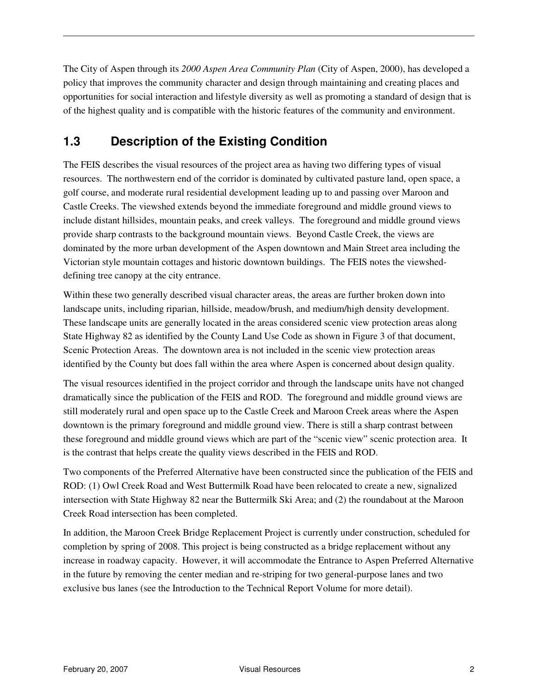The City of Aspen through its *2000 Aspen Area Community Plan* (City of Aspen, 2000), has developed a policy that improves the community character and design through maintaining and creating places and opportunities for social interaction and lifestyle diversity as well as promoting a standard of design that is of the highest quality and is compatible with the historic features of the community and environment.

#### **1.3 Description of the Existing Condition**

The FEIS describes the visual resources of the project area as having two differing types of visual resources. The northwestern end of the corridor is dominated by cultivated pasture land, open space, a golf course, and moderate rural residential development leading up to and passing over Maroon and Castle Creeks. The viewshed extends beyond the immediate foreground and middle ground views to include distant hillsides, mountain peaks, and creek valleys. The foreground and middle ground views provide sharp contrasts to the background mountain views. Beyond Castle Creek, the views are dominated by the more urban development of the Aspen downtown and Main Street area including the Victorian style mountain cottages and historic downtown buildings. The FEIS notes the viewsheddefining tree canopy at the city entrance.

Within these two generally described visual character areas, the areas are further broken down into landscape units, including riparian, hillside, meadow/brush, and medium/high density development. These landscape units are generally located in the areas considered scenic view protection areas along State Highway 82 as identified by the County Land Use Code as shown in Figure 3 of that document, Scenic Protection Areas. The downtown area is not included in the scenic view protection areas identified by the County but does fall within the area where Aspen is concerned about design quality.

The visual resources identified in the project corridor and through the landscape units have not changed dramatically since the publication of the FEIS and ROD. The foreground and middle ground views are still moderately rural and open space up to the Castle Creek and Maroon Creek areas where the Aspen downtown is the primary foreground and middle ground view. There is still a sharp contrast between these foreground and middle ground views which are part of the "scenic view" scenic protection area. It is the contrast that helps create the quality views described in the FEIS and ROD.

Two components of the Preferred Alternative have been constructed since the publication of the FEIS and ROD: (1) Owl Creek Road and West Buttermilk Road have been relocated to create a new, signalized intersection with State Highway 82 near the Buttermilk Ski Area; and (2) the roundabout at the Maroon Creek Road intersection has been completed.

In addition, the Maroon Creek Bridge Replacement Project is currently under construction, scheduled for completion by spring of 2008. This project is being constructed as a bridge replacement without any increase in roadway capacity. However, it will accommodate the Entrance to Aspen Preferred Alternative in the future by removing the center median and re-striping for two general-purpose lanes and two exclusive bus lanes (see the Introduction to the Technical Report Volume for more detail).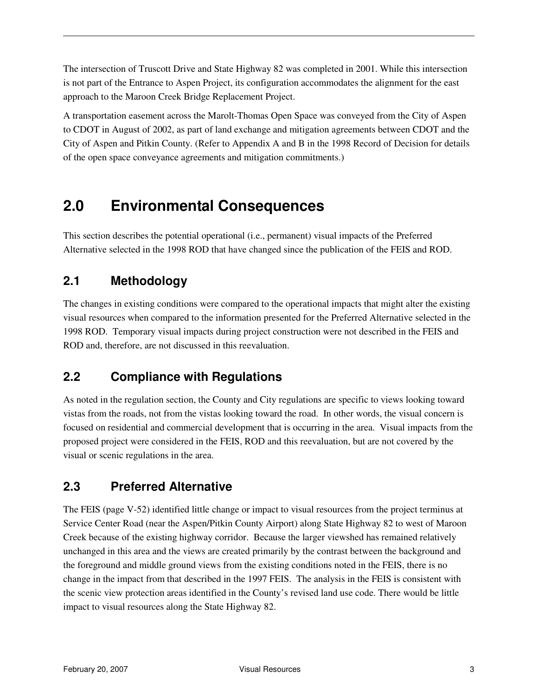The intersection of Truscott Drive and State Highway 82 was completed in 2001. While this intersection is not part of the Entrance to Aspen Project, its configuration accommodates the alignment for the east approach to the Maroon Creek Bridge Replacement Project.

A transportation easement across the Marolt-Thomas Open Space was conveyed from the City of Aspen to CDOT in August of 2002, as part of land exchange and mitigation agreements between CDOT and the City of Aspen and Pitkin County. (Refer to Appendix A and B in the 1998 Record of Decision for details of the open space conveyance agreements and mitigation commitments.)

# **2.0 Environmental Consequences**

This section describes the potential operational (i.e., permanent) visual impacts of the Preferred Alternative selected in the 1998 ROD that have changed since the publication of the FEIS and ROD.

#### **2.1 Methodology**

The changes in existing conditions were compared to the operational impacts that might alter the existing visual resources when compared to the information presented for the Preferred Alternative selected in the 1998 ROD. Temporary visual impacts during project construction were not described in the FEIS and ROD and, therefore, are not discussed in this reevaluation.

#### **2.2 Compliance with Regulations**

As noted in the regulation section, the County and City regulations are specific to views looking toward vistas from the roads, not from the vistas looking toward the road. In other words, the visual concern is focused on residential and commercial development that is occurring in the area. Visual impacts from the proposed project were considered in the FEIS, ROD and this reevaluation, but are not covered by the visual or scenic regulations in the area.

#### **2.3 Preferred Alternative**

The FEIS (page V-52) identified little change or impact to visual resources from the project terminus at Service Center Road (near the Aspen/Pitkin County Airport) along State Highway 82 to west of Maroon Creek because of the existing highway corridor. Because the larger viewshed has remained relatively unchanged in this area and the views are created primarily by the contrast between the background and the foreground and middle ground views from the existing conditions noted in the FEIS, there is no change in the impact from that described in the 1997 FEIS. The analysis in the FEIS is consistent with the scenic view protection areas identified in the County's revised land use code. There would be little impact to visual resources along the State Highway 82.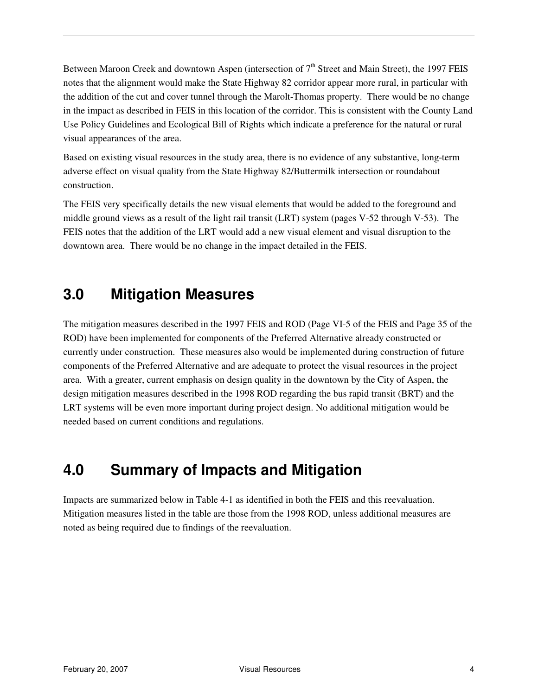Between Maroon Creek and downtown Aspen (intersection of  $7<sup>th</sup>$  Street and Main Street), the 1997 FEIS notes that the alignment would make the State Highway 82 corridor appear more rural, in particular with the addition of the cut and cover tunnel through the Marolt-Thomas property. There would be no change in the impact as described in FEIS in this location of the corridor. This is consistent with the County Land Use Policy Guidelines and Ecological Bill of Rights which indicate a preference for the natural or rural visual appearances of the area.

Based on existing visual resources in the study area, there is no evidence of any substantive, long-term adverse effect on visual quality from the State Highway 82/Buttermilk intersection or roundabout construction.

The FEIS very specifically details the new visual elements that would be added to the foreground and middle ground views as a result of the light rail transit (LRT) system (pages V-52 through V-53). The FEIS notes that the addition of the LRT would add a new visual element and visual disruption to the downtown area. There would be no change in the impact detailed in the FEIS.

## **3.0 Mitigation Measures**

The mitigation measures described in the 1997 FEIS and ROD (Page VI-5 of the FEIS and Page 35 of the ROD) have been implemented for components of the Preferred Alternative already constructed or currently under construction. These measures also would be implemented during construction of future components of the Preferred Alternative and are adequate to protect the visual resources in the project area. With a greater, current emphasis on design quality in the downtown by the City of Aspen, the design mitigation measures described in the 1998 ROD regarding the bus rapid transit (BRT) and the LRT systems will be even more important during project design. No additional mitigation would be needed based on current conditions and regulations.

# **4.0 Summary of Impacts and Mitigation**

Impacts are summarized below in Table 4-1 as identified in both the FEIS and this reevaluation. Mitigation measures listed in the table are those from the 1998 ROD, unless additional measures are noted as being required due to findings of the reevaluation.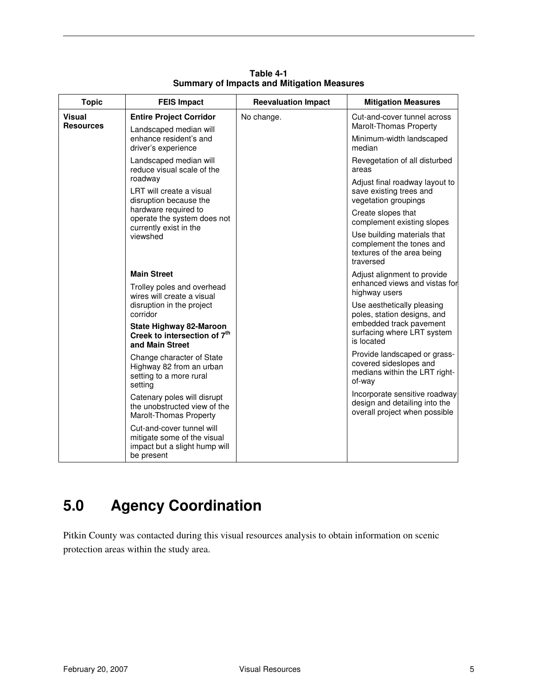| <b>Topic</b>                      | <b>FEIS Impact</b>                                                                                                                                         | <b>Reevaluation Impact</b> | <b>Mitigation Measures</b>                                                                         |
|-----------------------------------|------------------------------------------------------------------------------------------------------------------------------------------------------------|----------------------------|----------------------------------------------------------------------------------------------------|
| <b>Visual</b><br><b>Resources</b> | <b>Entire Project Corridor</b><br>Landscaped median will                                                                                                   | No change.                 | Cut-and-cover tunnel across<br>Marolt-Thomas Property                                              |
|                                   | enhance resident's and<br>driver's experience                                                                                                              |                            | Minimum-width landscaped<br>median                                                                 |
|                                   | Landscaped median will<br>reduce visual scale of the                                                                                                       |                            | Revegetation of all disturbed<br>areas                                                             |
|                                   | roadway<br>LRT will create a visual<br>disruption because the<br>hardware required to<br>operate the system does not<br>currently exist in the<br>viewshed |                            | Adjust final roadway layout to<br>save existing trees and<br>vegetation groupings                  |
|                                   |                                                                                                                                                            |                            | Create slopes that<br>complement existing slopes                                                   |
|                                   |                                                                                                                                                            |                            | Use building materials that<br>complement the tones and<br>textures of the area being<br>traversed |
|                                   | <b>Main Street</b><br>Trolley poles and overhead<br>wires will create a visual                                                                             |                            | Adjust alignment to provide<br>enhanced views and vistas for<br>highway users                      |
|                                   | disruption in the project<br>corridor                                                                                                                      |                            | Use aesthetically pleasing<br>poles, station designs, and                                          |
|                                   | <b>State Highway 82-Maroon</b><br>Creek to intersection of 7 <sup>th</sup><br>and Main Street                                                              |                            | embedded track pavement<br>surfacing where LRT system<br>is located                                |
|                                   | Change character of State<br>Highway 82 from an urban<br>setting to a more rural<br>setting                                                                |                            | Provide landscaped or grass-<br>covered sideslopes and<br>medians within the LRT right-<br>of-way  |
|                                   | Catenary poles will disrupt<br>the unobstructed view of the<br>Marolt-Thomas Property                                                                      |                            | Incorporate sensitive roadway<br>design and detailing into the<br>overall project when possible    |
|                                   | Cut-and-cover tunnel will<br>mitigate some of the visual<br>impact but a slight hump will<br>be present                                                    |                            |                                                                                                    |

**Table 4-1 Summary of Impacts and Mitigation Measures** 

# **5.0 Agency Coordination**

Pitkin County was contacted during this visual resources analysis to obtain information on scenic protection areas within the study area.